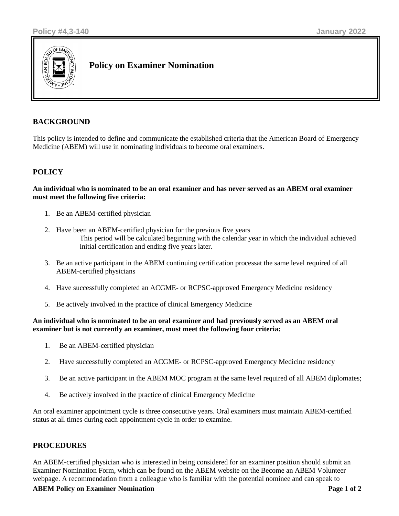

# **Policy on Examiner Nomination**

## **BACKGROUND**

This policy is intended to define and communicate the established criteria that the American Board of Emergency Medicine (ABEM) will use in nominating individuals to become oral examiners.

## **POLICY**

#### **An individual who is nominated to be an oral examiner and has never served as an ABEM oral examiner must meet the following five criteria:**

- 1. Be an ABEM-certified physician
- 2. Have been an ABEM-certified physician for the previous five years This period will be calculated beginning with the calendar year in which the individual achieved initial certification and ending five years later.
- 3. Be an active participant in the ABEM continuing certification processat the same level required of all ABEM-certified physicians
- 4. Have successfully completed an ACGME- or RCPSC-approved Emergency Medicine residency
- 5. Be actively involved in the practice of clinical Emergency Medicine

#### **An individual who is nominated to be an oral examiner and had previously served as an ABEM oral examiner but is not currently an examiner, must meet the following four criteria:**

- 1. Be an ABEM-certified physician
- 2. Have successfully completed an ACGME- or RCPSC-approved Emergency Medicine residency
- 3. Be an active participant in the ABEM MOC program at the same level required of all ABEM diplomates;
- 4. Be actively involved in the practice of clinical Emergency Medicine

An oral examiner appointment cycle is three consecutive years. Oral examiners must maintain ABEM-certified status at all times during each appointment cycle in order to examine.

### **PROCEDURES**

An ABEM-certified physician who is interested in being considered for an examiner position should submit an Examiner Nomination Form, which can be found on the ABEM website on the Become an ABEM Volunteer webpage. A recommendation from a colleague who is familiar with the potential nominee and can speak to